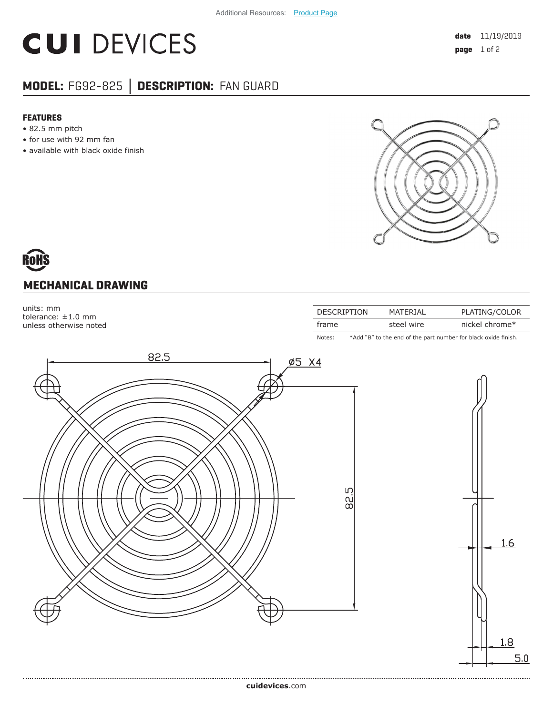## **CUI DEVICES**

### **MODEL:** FG92-825 **│ DESCRIPTION:** FAN GUARD

#### **FEATURES**

- 82.5 mm pitch
- for use with 92 mm fan
- available with black oxide finish



# **MECHANICAL DRAWING**

units: mm tolerance: ±1.0 mm unless otherwise noted

| <b>DESCRIPTION</b> | MATFRIAI   | PLATING/COLOR  |
|--------------------|------------|----------------|
| frame              | steel wire | nickel chrome* |
|                    |            |                |

Notes: \*Add "B" to the end of the part number for black oxide finish.